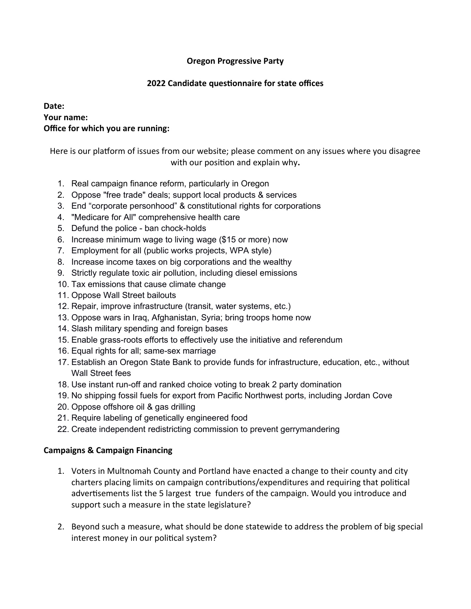## **Oregon Progressive Party**

#### **2022 Candidate questionnaire for state offices**

## **Date: Your name: Office for which you are running:**

Here is our platform of issues from our website; please comment on any issues where you disagree with our position and explain why**.**

- 1. Real campaign finance reform, particularly in Oregon
- 2. Oppose "free trade" deals; support local products & services
- 3. End "corporate personhood" & constitutional rights for corporations
- 4. "Medicare for All" comprehensive health care
- 5. Defund the police ban chock-holds
- 6. Increase minimum wage to living wage (\$15 or more) now
- 7. Employment for all (public works projects, WPA style)
- 8. Increase income taxes on big corporations and the wealthy
- 9. Strictly regulate toxic air pollution, including diesel emissions
- 10. Tax emissions that cause climate change
- 11. Oppose Wall Street bailouts
- 12. Repair, improve infrastructure (transit, water systems, etc.)
- 13. Oppose wars in Iraq, Afghanistan, Syria; bring troops home now
- 14. Slash military spending and foreign bases
- 15. Enable grass-roots efforts to effectively use the initiative and referendum
- 16. Equal rights for all; same-sex marriage
- 17. Establish an Oregon State Bank to provide funds for infrastructure, education, etc., without Wall Street fees
- 18. Use instant run-off and ranked choice voting to break 2 party domination
- 19. No shipping fossil fuels for export from Pacific Northwest ports, including Jordan Cove
- 20. Oppose offshore oil & gas drilling
- 21. Require labeling of genetically engineered food
- 22. Create independent redistricting commission to prevent gerrymandering

# **Campaigns & Campaign Financing**

- 1. Voters in Multnomah County and Portland have enacted a change to their county and city charters placing limits on campaign contributions/expenditures and requiring that political advertisements list the 5 largest true funders of the campaign. Would you introduce and support such a measure in the state legislature?
- 2. Beyond such a measure, what should be done statewide to address the problem of big special interest money in our political system?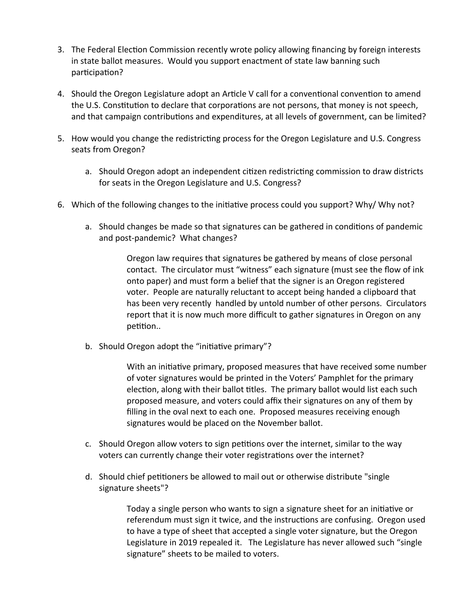- 3. The Federal Election Commission recently wrote policy allowing financing by foreign interests in state ballot measures. Would you support enactment of state law banning such participation?
- 4. Should the Oregon Legislature adopt an Article V call for a conventional convention to amend the U.S. Constitution to declare that corporations are not persons, that money is not speech, and that campaign contributions and expenditures, at all levels of government, can be limited?
- 5. How would you change the redistricting process for the Oregon Legislature and U.S. Congress seats from Oregon?
	- a. Should Oregon adopt an independent citizen redistricting commission to draw districts for seats in the Oregon Legislature and U.S. Congress?
- 6. Which of the following changes to the initiative process could you support? Why/ Why not?
	- a. Should changes be made so that signatures can be gathered in conditions of pandemic and post-pandemic? What changes?

Oregon law requires that signatures be gathered by means of close personal contact. The circulator must "witness" each signature (must see the flow of ink onto paper) and must form a belief that the signer is an Oregon registered voter. People are naturally reluctant to accept being handed a clipboard that has been very recently handled by untold number of other persons. Circulators report that it is now much more difficult to gather signatures in Oregon on any petition..

b. Should Oregon adopt the "initiative primary"?

With an initiative primary, proposed measures that have received some number of voter signatures would be printed in the Voters' Pamphlet for the primary election, along with their ballot titles. The primary ballot would list each such proposed measure, and voters could affix their signatures on any of them by filling in the oval next to each one. Proposed measures receiving enough signatures would be placed on the November ballot.

- c. Should Oregon allow voters to sign petitions over the internet, similar to the way voters can currently change their voter registrations over the internet?
- d. Should chief petitioners be allowed to mail out or otherwise distribute "single signature sheets"?

Today a single person who wants to sign a signature sheet for an initiative or referendum must sign it twice, and the instructions are confusing. Oregon used to have a type of sheet that accepted a single voter signature, but the Oregon Legislature in 2019 repealed it. The Legislature has never allowed such "single signature" sheets to be mailed to voters.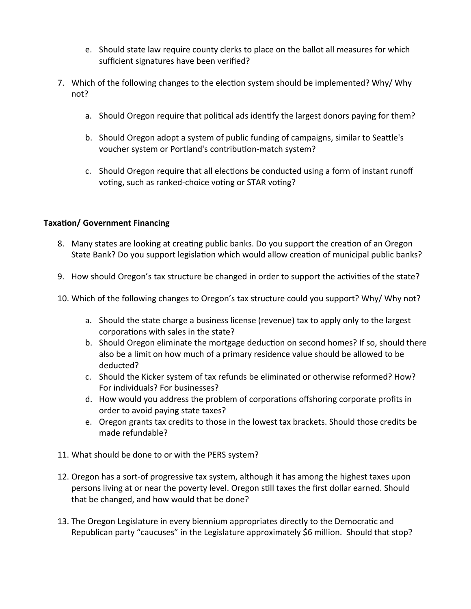- e. Should state law require county clerks to place on the ballot all measures for which sufficient signatures have been verified?
- 7. Which of the following changes to the election system should be implemented? Why/ Why not?
	- a. Should Oregon require that political ads identify the largest donors paying for them?
	- b. Should Oregon adopt a system of public funding of campaigns, similar to Seattle's voucher system or Portland's contribution-match system?
	- c. Should Oregon require that all elections be conducted using a form of instant runoff voting, such as ranked-choice voting or STAR voting?

## **Taxation/ Government Financing**

- 8. Many states are looking at creating public banks. Do you support the creation of an Oregon State Bank? Do you support legislation which would allow creation of municipal public banks?
- 9. How should Oregon's tax structure be changed in order to support the activities of the state?
- 10. Which of the following changes to Oregon's tax structure could you support? Why/ Why not?
	- a. Should the state charge a business license (revenue) tax to apply only to the largest corporations with sales in the state?
	- b. Should Oregon eliminate the mortgage deduction on second homes? If so, should there also be a limit on how much of a primary residence value should be allowed to be deducted?
	- c. Should the Kicker system of tax refunds be eliminated or otherwise reformed? How? For individuals? For businesses?
	- d. How would you address the problem of corporations offshoring corporate profits in order to avoid paying state taxes?
	- e. Oregon grants tax credits to those in the lowest tax brackets. Should those credits be made refundable?
- 11. What should be done to or with the PERS system?
- 12. Oregon has a sort-of progressive tax system, although it has among the highest taxes upon persons living at or near the poverty level. Oregon still taxes the first dollar earned. Should that be changed, and how would that be done?
- 13. The Oregon Legislature in every biennium appropriates directly to the Democratic and Republican party "caucuses" in the Legislature approximately \$6 million. Should that stop?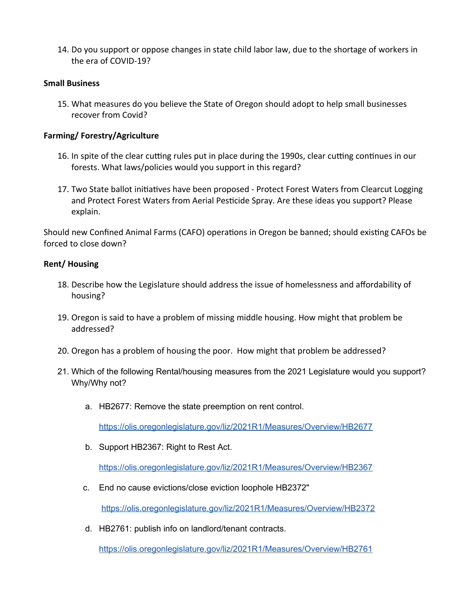14. Do you support or oppose changes in state child labor law, due to the shortage of workers in the era of COVID-19?

## **Small Business**

15. What measures do you believe the State of Oregon should adopt to help small businesses recover from Covid?

## **Farming/ Forestry/Agriculture**

- 16. In spite of the clear cutting rules put in place during the 1990s, clear cutting continues in our forests. What laws/policies would you support in this regard?
- 17. Two State ballot initiatives have been proposed Protect Forest Waters from Clearcut Logging and Protect Forest Waters from Aerial Pesticide Spray. Are these ideas you support? Please explain.

Should new Confined Animal Farms (CAFO) operations in Oregon be banned; should existing CAFOs be forced to close down?

#### **Rent/ Housing**

- 18. Describe how the Legislature should address the issue of homelessness and affordability of housing?
- 19. Oregon is said to have a problem of missing middle housing. How might that problem be addressed?
- 20. Oregon has a problem of housing the poor. How might that problem be addressed?
- 21. Which of the following Rental/housing measures from the 2021 Legislature would you support? Why/Why not?
	- a. HB2677: Remove the state preemption on rent control.

https://olis.oregonlegislature.gov/liz/2021R1/Measures/Overview/HB2677

b. Support HB2367: Right to Rest Act.

<https://olis.oregonlegislature.gov/liz/2021R1/Measures/Overview/HB2367>

c. End no cause evictions/close eviction loophole HB2372"

https://olis.oregonlegislature.gov/liz/2021R1/Measures/Overview/HB2372

d. HB2761: publish info on landlord/tenant contracts.

https://olis.oregonlegislature.gov/liz/2021R1/Measures/Overview/HB2761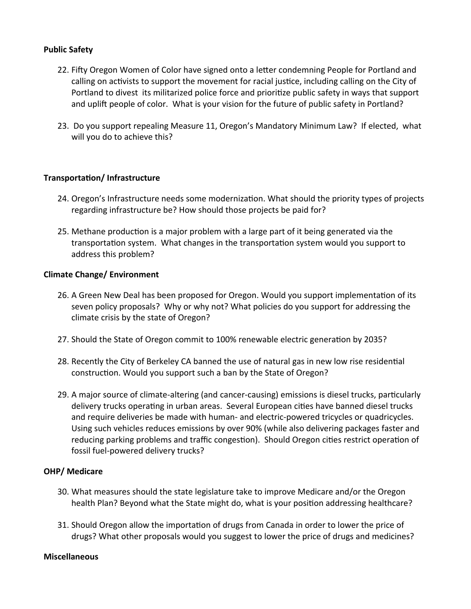#### **Public Safety**

- 22. Fifty Oregon Women of Color have signed onto a letter condemning People for Portland and calling on activists to support the movement for racial justice, including calling on the City of Portland to divest its militarized police force and prioritize public safety in ways that support and uplift people of color. What is your vision for the future of public safety in Portland?
- 23. Do you support repealing Measure 11, Oregon's Mandatory Minimum Law? If elected, what will you do to achieve this?

#### **Transportation/ Infrastructure**

- 24. Oregon's Infrastructure needs some modernization. What should the priority types of projects regarding infrastructure be? How should those projects be paid for?
- 25. Methane production is a major problem with a large part of it being generated via the transportation system. What changes in the transportation system would you support to address this problem?

#### **Climate Change/ Environment**

- 26. A Green New Deal has been proposed for Oregon. Would you support implementation of its seven policy proposals? Why or why not? What policies do you support for addressing the climate crisis by the state of Oregon?
- 27. Should the State of Oregon commit to 100% renewable electric generation by 2035?
- 28. Recently the City of Berkeley CA banned the use of natural gas in new low rise residential construction. Would you support such a ban by the State of Oregon?
- 29. A major source of climate-altering (and cancer-causing) emissions is diesel trucks, particularly delivery trucks operating in urban areas. Several European cities have banned diesel trucks and require deliveries be made with human- and electric-powered tricycles or quadricycles. Using such vehicles reduces emissions by over 90% (while also delivering packages faster and reducing parking problems and traffic congestion). Should Oregon cities restrict operation of fossil fuel-powered delivery trucks?

#### **OHP/ Medicare**

- 30. What measures should the state legislature take to improve Medicare and/or the Oregon health Plan? Beyond what the State might do, what is your position addressing healthcare?
- 31. Should Oregon allow the importation of drugs from Canada in order to lower the price of drugs? What other proposals would you suggest to lower the price of drugs and medicines?

#### **Miscellaneous**